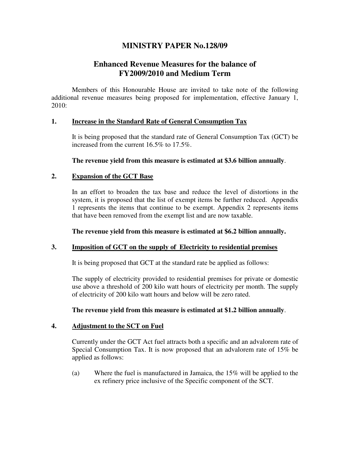## **MINISTRY PAPER No.128/09**

# **Enhanced Revenue Measures for the balance of FY2009/2010 and Medium Term**

Members of this Honourable House are invited to take note of the following additional revenue measures being proposed for implementation, effective January 1, 2010:

#### **1. Increase in the Standard Rate of General Consumption Tax**

It is being proposed that the standard rate of General Consumption Tax (GCT) be increased from the current 16.5% to 17.5%.

**The revenue yield from this measure is estimated at \$3.6 billion annually**.

#### **2. Expansion of the GCT Base**

In an effort to broaden the tax base and reduce the level of distortions in the system, it is proposed that the list of exempt items be further reduced. Appendix 1 represents the items that continue to be exempt. Appendix 2 represents items that have been removed from the exempt list and are now taxable.

**The revenue yield from this measure is estimated at \$6.2 billion annually.**

#### **3. Imposition of GCT on the supply of Electricity to residential premises**

It is being proposed that GCT at the standard rate be applied as follows:

The supply of electricity provided to residential premises for private or domestic use above a threshold of 200 kilo watt hours of electricity per month. The supply of electricity of 200 kilo watt hours and below will be zero rated.

**The revenue yield from this measure is estimated at \$1.2 billion annually**.

#### **4. Adjustment to the SCT on Fuel**

Currently under the GCT Act fuel attracts both a specific and an advalorem rate of Special Consumption Tax. It is now proposed that an advalorem rate of 15% be applied as follows:

(a) Where the fuel is manufactured in Jamaica, the 15% will be applied to the ex refinery price inclusive of the Specific component of the SCT.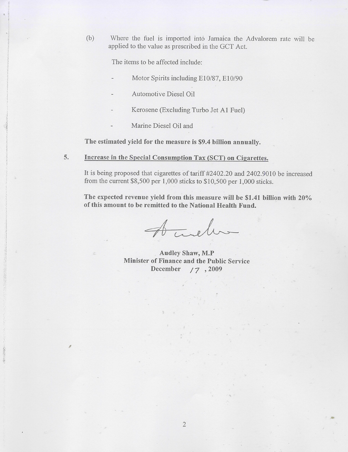Where the fuel is imported into Jamaica the Advalorem rate will be  $(b)$ applied to the value as prescribed in the GCT Act.

The items to be affected include:

- Motor Spirits including E10/87, E10/90
- Automotive Diesel Oil
- Kerosene (Excluding Turbo Jet A1 Fuel)
- Marine Diesel Oil and

The estimated yield for the measure is \$9.4 billion annually.

5. Increase in the Special Consumption Tax (SCT) on Cigarettes.

It is being proposed that cigarettes of tariff #2402.20 and 2402.9010 be increased from the current  $$8,500$  per 1,000 sticks to  $$10,500$  per 1,000 sticks.

The expected revenue yield from this measure will be \$1.41 billion with 20% of this amount to be remitted to the National Health Fund.

Acceler

**Audley Shaw, M.P** Minister of Finance and the Public Service December  $17, 2009$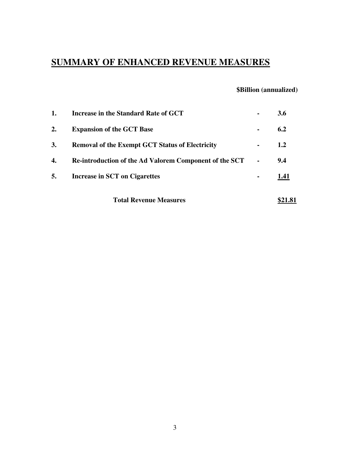# **SUMMARY OF ENHANCED REVENUE MEASURES**

## **\$Billion (annualized)**

|    | <b>Total Revenue Measures</b>                                 |                | \$21.81 |
|----|---------------------------------------------------------------|----------------|---------|
| 5. | Increase in SCT on Cigarettes                                 | $\blacksquare$ | 1.41    |
| 4. | <b>Re-introduction of the Ad Valorem Component of the SCT</b> |                | 9.4     |
| 3. | <b>Removal of the Exempt GCT Status of Electricity</b>        | $\blacksquare$ | 1.2     |
| 2. | <b>Expansion of the GCT Base</b>                              | $\blacksquare$ | 6.2     |
| 1. | Increase in the Standard Rate of GCT                          |                | 3.6     |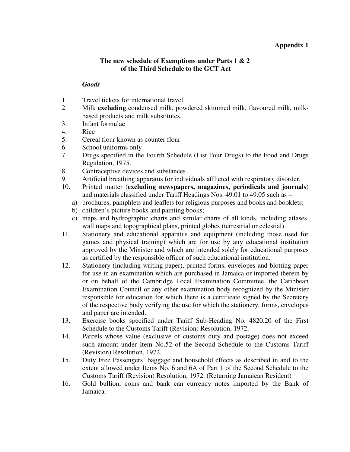#### **Appendix 1**

#### **The new schedule of Exemptions under Parts 1 & 2 of the Third Schedule to the GCT Act**

#### *Goods*

- 1. Travel tickets for international travel.
- 2. Milk **excluding** condensed milk, powdered skimmed milk, flavoured milk, milkbased products and milk substitutes.
- 3. Infant formulae
- 4. Rice
- 5. Cereal flour known as counter flour
- 6. School uniforms only
- 7. Drugs specified in the Fourth Schedule (List Four Drugs) to the Food and Drugs Regulation, 1975.
- 8. Contraceptive devices and substances.
- 9. Artificial breathing apparatus for individuals afflicted with respiratory disorder.
- 10. Printed matter (**excluding newspapers, magazines, periodicals and journals**) and materials classified under Tariff Headings Nos. 49.01 to 49.05 such as –
	- a) brochures, pamphlets and leaflets for religious purposes and books and booklets;
	- b) children's picture books and painting books;
	- c) maps and hydrographic charts and similar charts of all kinds, including atlases, wall maps and topographical plans, printed globes (terrestrial or celestial).
- 11. Stationery and educational apparatus and equipment (including those used for games and physical training) which are for use by any educational institution approved by the Minister and which are intended solely for educational purposes as certified by the responsible officer of such educational institution.
- 12. Stationery (including writing paper), printed forms, envelopes and blotting paper for use in an examination which are purchased in Jamaica or imported therein by or on behalf of the Cambridge Local Examination Committee, the Caribbean Examination Council or any other examination body recognized by the Minister responsible for education for which there is a certificate signed by the Secretary of the respective body verifying the use for which the stationery, forms, envelopes and paper are intended.
- 13. Exercise books specified under Tariff Sub-Heading No. 4820.20 of the First Schedule to the Customs Tariff (Revision) Resolution, 1972.
- 14. Parcels whose value (exclusive of customs duty and postage) does not exceed such amount under Item No.52 of the Second Schedule to the Customs Tariff (Revision) Resolution, 1972.
- 15. Duty Free Passengers' baggage and household effects as described in and to the extent allowed under Items No. 6 and 6A of Part 1 of the Second Schedule to the Customs Tariff (Revision) Resolution, 1972. (Returning Jamaican Resident)
- 16. Gold bullion, coins and bank can currency notes imported by the Bank of Jamaica.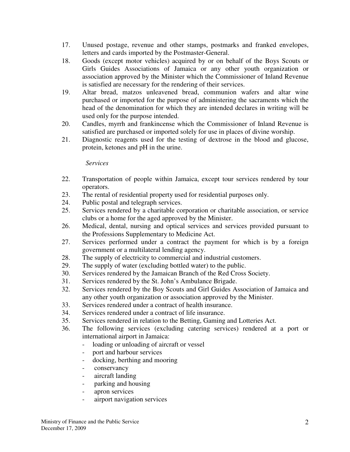- 17. Unused postage, revenue and other stamps, postmarks and franked envelopes, letters and cards imported by the Postmaster-General.
- 18. Goods (except motor vehicles) acquired by or on behalf of the Boys Scouts or Girls Guides Associations of Jamaica or any other youth organization or association approved by the Minister which the Commissioner of Inland Revenue is satisfied are necessary for the rendering of their services.
- 19. Altar bread, matzos unleavened bread, communion wafers and altar wine purchased or imported for the purpose of administering the sacraments which the head of the denomination for which they are intended declares in writing will be used only for the purpose intended.
- 20. Candles, myrrh and frankincense which the Commissioner of Inland Revenue is satisfied are purchased or imported solely for use in places of divine worship.
- 21. Diagnostic reagents used for the testing of dextrose in the blood and glucose, protein, ketones and pH in the urine.

## *Services*

- 22. Transportation of people within Jamaica, except tour services rendered by tour operators.
- 23. The rental of residential property used for residential purposes only.
- 24. Public postal and telegraph services.
- 25. Services rendered by a charitable corporation or charitable association, or service clubs or a home for the aged approved by the Minister.
- 26. Medical, dental, nursing and optical services and services provided pursuant to the Professions Supplementary to Medicine Act.
- 27. Services performed under a contract the payment for which is by a foreign government or a multilateral lending agency.
- 28. The supply of electricity to commercial and industrial customers.
- 29. The supply of water (excluding bottled water) to the public.
- 30. Services rendered by the Jamaican Branch of the Red Cross Society.
- 31. Services rendered by the St. John's Ambulance Brigade.
- 32. Services rendered by the Boy Scouts and Girl Guides Association of Jamaica and any other youth organization or association approved by the Minister.
- 33. Services rendered under a contract of health insurance.
- 34. Services rendered under a contract of life insurance.
- 35. Services rendered in relation to the Betting, Gaming and Lotteries Act.
- 36. The following services (excluding catering services) rendered at a port or international airport in Jamaica:
	- loading or unloading of aircraft or vessel
	- port and harbour services
	- docking, berthing and mooring
	- conservancy
	- aircraft landing
	- parking and housing
	- apron services
	- airport navigation services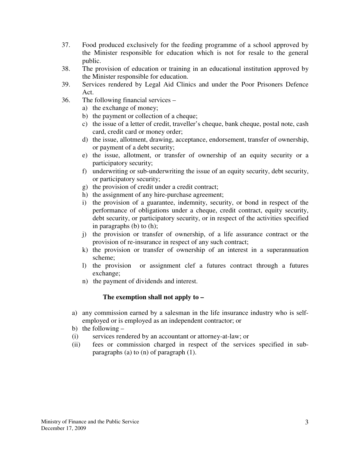- 37. Food produced exclusively for the feeding programme of a school approved by the Minister responsible for education which is not for resale to the general public.
- 38. The provision of education or training in an educational institution approved by the Minister responsible for education.
- 39. Services rendered by Legal Aid Clinics and under the Poor Prisoners Defence Act.
- 36. The following financial services
	- a) the exchange of money;
	- b) the payment or collection of a cheque;
	- c) the issue of a letter of credit, traveller's cheque, bank cheque, postal note, cash card, credit card or money order;
	- d) the issue, allotment, drawing, acceptance, endorsement, transfer of ownership, or payment of a debt security;
	- e) the issue, allotment, or transfer of ownership of an equity security or a participatory security;
	- f) underwriting or sub-underwriting the issue of an equity security, debt security, or participatory security;
	- g) the provision of credit under a credit contract;
	- h) the assignment of any hire-purchase agreement;
	- i) the provision of a guarantee, indemnity, security, or bond in respect of the performance of obligations under a cheque, credit contract, equity security, debt security, or participatory security, or in respect of the activities specified in paragraphs (b) to (h);
	- j) the provision or transfer of ownership, of a life assurance contract or the provision of re-insurance in respect of any such contract;
	- k) the provision or transfer of ownership of an interest in a superannuation scheme;
	- l) the provision or assignment clef a futures contract through a futures exchange;
	- n) the payment of dividends and interest.

## **The exemption shall not apply to –**

- a) any commission earned by a salesman in the life insurance industry who is selfemployed or is employed as an independent contractor; or
- b) the following –
- (i) services rendered by an accountant or attorney-at-law; or
- (ii) fees or commission charged in respect of the services specified in subparagraphs (a) to (n) of paragraph (1).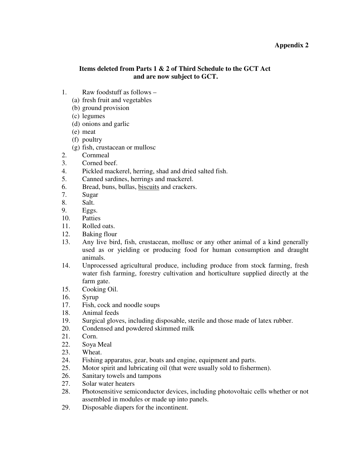#### **Appendix 2**

#### **Items deleted from Parts 1 & 2 of Third Schedule to the GCT Act and are now subject to GCT.**

- 1. Raw foodstuff as follows
	- (a) fresh fruit and vegetables
	- (b) ground provision
	- (c) legumes
	- (d) onions and garlic
	- (e) meat
	- (f) poultry
	- (g) fish, crustacean or mullosc
- 2. Cornmeal
- 3. Corned beef.
- 4. Pickled mackerel, herring, shad and dried salted fish.
- 5. Canned sardines, herrings and mackerel.
- 6. Bread, buns, bullas, biscuits and crackers.
- 7. Sugar
- 8. Salt.
- 9. Eggs.
- 10. Patties
- 11. Rolled oats.
- 12. Baking flour
- 13. Any live bird, fish, crustacean, mollusc or any other animal of a kind generally used as or yielding or producing food for human consumption and draught animals.
- 14. Unprocessed agricultural produce, including produce from stock farming, fresh water fish farming, forestry cultivation and horticulture supplied directly at the farm gate.
- 15. Cooking Oil.
- 16. Syrup
- 17. Fish, cock and noodle soups
- 18. Animal feeds
- 19. Surgical gloves, including disposable, sterile and those made of latex rubber.
- 20. Condensed and powdered skimmed milk
- 21. Corn.
- 22. Soya Meal
- 23. Wheat.
- 24. Fishing apparatus, gear, boats and engine, equipment and parts.
- 25. Motor spirit and lubricating oil (that were usually sold to fishermen).
- 26. Sanitary towels and tampons
- 27. Solar water heaters
- 28. Photosensitive semiconductor devices, including photovoltaic cells whether or not assembled in modules or made up into panels.
- 29. Disposable diapers for the incontinent.